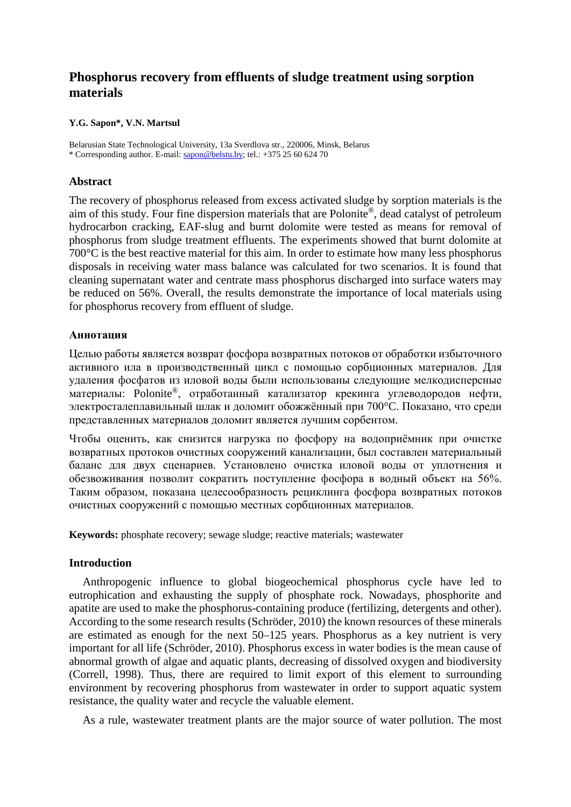# **Phosphorus recovery from effluents of sludge treatment using sorption materials**

## **Y.G. Sapon\*, V.N. Martsul**

Belarusian State Technological University, 13a Sverdlova str., 220006, Minsk, Belarus \* Corresponding author. E-mail: [sapon@belstu.by;](mailto:sapon@belstu.by) tel.: +375 25 60 624 70

# **Abstract**

The recovery of phosphorus released from excess activated sludge by sorption materials is the aim of this study. Four fine dispersion materials that are Polonite®, dead catalyst of petroleum hydrocarbon cracking, EAF-slug and burnt dolomite were tested as means for removal of phosphorus from sludge treatment effluents. The experiments showed that burnt dolomite at 700°C is the best reactive material for this aim. In order to estimate how many less phosphorus disposals in receiving water mass balance was calculated for two scenarios. It is found that cleaning supernatant water and centrate mass phosphorus discharged into surface waters may be reduced on 56%. Overall, the results demonstrate the importance of local materials using for phosphorus recovery from effluent of sludge.

# **Аннотация**

Целью работы является возврат фосфора возвратных потоков от обработки избыточного активного ила в производственный цикл с помощью сорбционных материалов. Для удаления фосфатов из иловой воды были использованы следующие мелкодисперсные материалы: Polonite®, отработанный катализатор крекинга углеводородов нефти, электросталеплавильный шлак и доломит обожжённый при 700°C. Показано, что среди представленных материалов доломит является лучшим сорбентом.

Чтобы оценить, как снизится нагрузка по фосфору на водоприёмник при очистке возвратных протоков очистных сооружений канализации, был составлен материальный баланс для двух сценариев. Установлено очистка иловой воды от уплотнения и обезвоживания позволит сократить поступление фосфора в водный объект на 56%. Таким образом, показана целесообразность рециклинга фосфора возвратных потоков очистных сооружений с помощью местных сорбционных материалов.

**Keywords:** phosphate recovery; sewage sludge; reactive materials; wastewater

## **Introduction**

Anthropogenic influence to global biogeochemical phosphorus cycle have led to eutrophication and exhausting the supply of phosphate rock. Nowadays, phosphorite and apatite are used to make the phosphorus-containing produce (fertilizing, detergents and other). According to the some research results (Schröder, 2010) the known resources of these minerals are estimated as enough for the next 50–125 years. Phosphorus as a key nutrient is very important for all life (Schröder, 2010). Phosphorus excess in water bodies is the mean cause of abnormal growth of algae and aquatic plants, decreasing of dissolved oxygen and biodiversity (Correll, 1998). Thus, there are required to limit export of this element to surrounding environment by recovering phosphorus from wastewater in order to support aquatic system resistance, the quality water and recycle the valuable element.

As a rule, wastewater treatment plants are the major source of water pollution. The most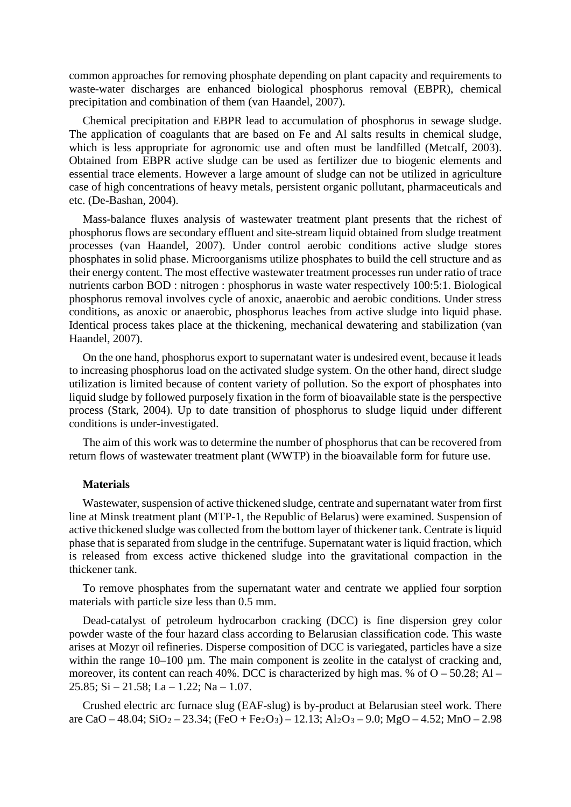common approaches for removing phosphate depending on plant capacity and [requirements](http://www.multitran.ru/c/m.exe?t=3139657_1_2&s1=%F2%F0%E5%E1%EE%E2%E0%ED%E8%E5%20%EA) to waste-water discharges are enhanced biological phosphorus removal (EBPR), [chemical](http://www.multitran.ru/c/m.exe?t=2433528_1_2&s1=%F5%E8%EC%E8%F7%E5%F1%EA%EE%E5%20%EE%F1%E0%E6%E4%E5%ED%E8%E5)  [precipitation](http://www.multitran.ru/c/m.exe?t=2433528_1_2&s1=%F5%E8%EC%E8%F7%E5%F1%EA%EE%E5%20%EE%F1%E0%E6%E4%E5%ED%E8%E5) and combination of them (van Haandel, 2007).

Chemical precipitation and EBPR lead to accumulation of phosphorus in sewage sludge. The application of coagulants that are based on Fe and Al salts results in chemical sludge, which is less appropriate for agronomic use and often must be landfilled (Metcalf, 2003). Obtained from EBPR active sludge can be used as fertilizer due to biogenic elements and essential trace elements. However a large amount of sludge can not be utilized in agriculture case of high concentrations of heavy metals, persistent organic pollutant, pharmaceuticals and etc. (De-Bashan, 2004).

Mass-balance fluxes analysis of wastewater treatment plant presents that the richest of phosphorus flows are secondary effluent and site-stream liquid obtained from sludge treatment processes (van Haandel, 2007). Under control aerobic conditions active sludge stores phosphates in solid phase. Microorganisms utilize phosphates to build the cell structure and as their energy content. The most effective wastewater treatment processes run under ratio of trace nutrients carbon BOD : nitrogen : phosphorus in waste water respectively 100:5:1. Biological phosphorus removal involves cycle of anoxic, anaerobic and aerobic conditions. Under stress conditions, as anoxic or anaerobic, phosphorus leaches from active sludge into liquid phase. Identical process takes place at the thickening, mechanical dewatering and stabilization (van Haandel, 2007).

On the one hand, phosphorus export to supernatant water is undesired event, because it leads to increasing phosphorus load on the activated sludge system. On the other hand, direct sludge utilization is limited because of content variety of pollution. So the export of phosphates into liquid sludge by followed purposely fixation in the form of [bioavailable](http://www.multitran.ru/c/m.exe?t=4602155_1_2&s1=%E1%E8%EE%E4%EE%F1%F2%F3%EF%ED%FB%E9) state is the perspective process (Stark, 2004). Up to date transition of phosphorus to sludge liquid under different conditions is under-investigated.

The aim of this work was to determine the number of phosphorus that can be recovered from return flows of wastewater treatment plant (WWTP) in the bioavailable form for future use.

## **Materials**

Wastewater, suspension of active thickened sludge, centrate and supernatant water from first line at Minsk treatment plant (MTP-1, the Republic of Belarus) were examined. Suspension of active thickened sludge was collected from the bottom layer of thickener tank. Centrate is liquid phase that is separated from sludge in the centrifuge. Supernatant water is liquid fraction, which is released from excess active thickened sludge into the gravitational compaction in the thickener tank.

To remove phosphates from the supernatant water and centrate we applied four sorption materials with particle size less than 0.5 mm.

Dead-catalyst of petroleum hydrocarbon cracking (DCC) is fine dispersion grey color powder [waste](http://www.multitran.ru/c/m.exe?t=1494625_1_2&s1=%F3%E4%E0%EB%E5%ED%E8%E5%20%EE%EF%E0%F1%ED%FB%F5%20%EE%F2%F5%EE%E4%EE%E2) of the four hazard class according to Belarusian classification code. This waste arises at Mozyr oil refineries. Disperse composition of DCC is variegated, particles have a size within the range  $10-100 \mu m$ . The main component is zeolite in the catalyst of cracking and, moreover, its content can reach 40%. DCC is characterized by high mas. % of  $O - 50.28$ ; Al – 25.85; Si – 21.58; La – 1.22; Na – 1.07.

Crushed electric arc furnace slug (EAF-slug) is by-product at Belarusian steel work. There are CaO – 48.04;  $SiO_2 - 23.34$ ; (FeO + Fe<sub>2</sub>O<sub>3</sub>) – 12.13; Al<sub>2</sub>O<sub>3</sub> – 9.0; MgO – 4.52; MnO – 2.98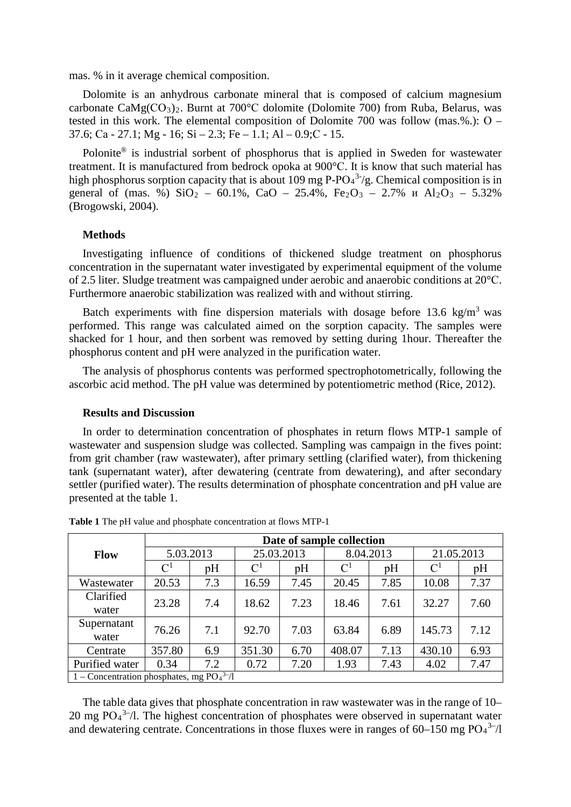mas. % in it average chemical composition.

Dolomite is an anhydrous [carbonate mineral](http://en.wikipedia.org/wiki/Carbonate_mineral) that is composed of [calcium](http://en.wikipedia.org/wiki/Calcium) [magnesium](http://en.wikipedia.org/wiki/Magnesium) [carbonate](http://en.wikipedia.org/wiki/Carbonate) CaMg(СО3)2. Burnt at 700°С dolomite (Dolomite 700) from Ruba, Belarus, was tested in this work. The elemental composition of Dolomite 700 was follow (mas.%.): О – 37.6; Са - 27.1; Mg - 16; Si – 2.3; Fe – 1.1; Al – 0.9;С - 15.

Polonite® is industrial sorbent of phosphorus that is applied in Sweden for wastewater treatment. It is manufactured from bedrock opoka at 900°С. It is know that such material has high phosphorus sorption capacity that is about 109 mg  $P$ -PO $4^3$ /g. Chemical composition is in general of (mas. %)  $SiO_2$  – 60.1%, CaO – 25.4%, Fe<sub>2</sub>O<sub>3</sub> – 2.7%  $\mu$  Al<sub>2</sub>O<sub>3</sub> – 5.32% (Brogowski, 2004).

### **Methods**

Investigating influence of conditions of thickened sludge treatment on phosphorus concentration in the supernatant water investigated by experimental equipment of the volume of 2.5 liter. Sludge treatment was campaigned under aerobic and anaerobic conditions at 20°С. Furthermore anaerobic stabilization was realized with and without stirring.

Batch experiments with fine dispersion materials with dosage before  $13.6 \text{ kg/m}^3$  was performed. This range was calculated aimed on the sorption capacity. The samples were shacked for 1 hour, and then sorbent was removed by setting during 1hour. Thereafter the phosphorus content and pH were analyzed in the purification water.

The analysis of phosphorus contents was performed spectrophotometrically, following the ascorbic acid method. The pH value was determined by potentiometric method (Rice, 2012).

#### **Results and Discussion**

In order to determination concentration of phosphates in return flows MTP-1 sample of wastewater and suspension sludge was collected. Sampling was campaign in the fives point: from grit chamber (raw wastewater), after primary settling (clarified water), from thickening tank (supernatant water), after dewatering (centrate from dewatering), and after secondary settler (purified water). The results determination of phosphate concentration and pH value are presented at the table 1.

|                                            | Date of sample collection |     |                |      |                 |      |                |      |
|--------------------------------------------|---------------------------|-----|----------------|------|-----------------|------|----------------|------|
| Flow                                       | 5.03.2013                 |     | 25.03.2013     |      | 8.04.2013       |      | 21.05.2013     |      |
|                                            | $\mathrm{C}^1$            | pH  | $\mathrm{C}^1$ | pH   | $\mathcal{C}^1$ | pH   | $\mathrm{C}^1$ | pH   |
| Wastewater                                 | 20.53                     | 7.3 | 16.59          | 7.45 | 20.45           | 7.85 | 10.08          | 7.37 |
| Clarified<br>water                         | 23.28                     | 7.4 | 18.62          | 7.23 | 18.46           | 7.61 | 32.27          | 7.60 |
| Supernatant<br>water                       | 76.26                     | 7.1 | 92.70          | 7.03 | 63.84           | 6.89 | 145.73         | 7.12 |
| Centrate                                   | 357.80                    | 6.9 | 351.30         | 6.70 | 408.07          | 7.13 | 430.10         | 6.93 |
| Purified water                             | 0.34                      | 7.2 | 0.72           | 7.20 | 1.93            | 7.43 | 4.02           | 7.47 |
| 1 – Concentration phosphates, mg $PO43–/l$ |                           |     |                |      |                 |      |                |      |

**Table 1** The рН value and phosphate concentration at flows MTP-1

The table data gives that phosphate concentration in raw wastewater was in the range of 10– 20 mg  $PO_4^{3-}/I$ . The highest concentration of phosphates were observed in supernatant water and dewatering centrate. Concentrations in those fluxes were in ranges of  $60-150$  mg  $PO<sub>4</sub><sup>3–</sup>/l$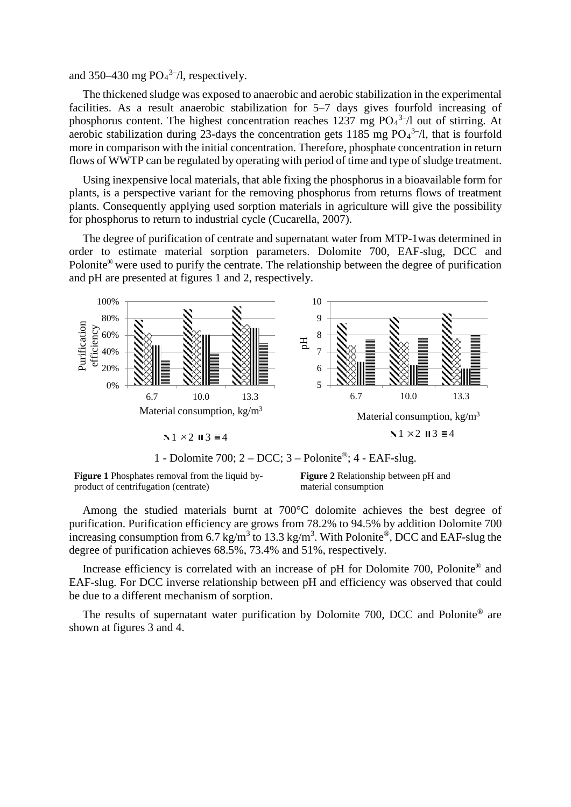and 350–430 mg  $PO_4^{3-}/l$ , respectively.

The thickened sludge was exposed to anaerobic and aerobic stabilization in the experimental facilities. As a result anaerobic stabilization for 5–7 days gives fourfold increasing of phosphorus content. The highest concentration reaches 1237 mg  $PO<sub>4</sub><sup>3–</sup>/l$  out of stirring. At aerobic stabilization during 23-days the concentration gets 1185 mg  $PO<sub>4</sub><sup>3–</sup>/l$ , that is fourfold more in comparison with the initial concentration. Therefore, phosphate concentration in return flows of WWTP can be regulated by operating with period of time and type of sludge treatment.

Using inexpensive local materials, that able fixing the phosphorus in a bioavailable form for plants, is a perspective variant for the removing phosphorus from returns flows of treatment plants. Consequently applying used sorption materials in agriculture will give the possibility for phosphorus to return to industrial cycle (Cucarella, 2007).

The degree of purification of centrate and supernatant water from MTP-1was determined in order to estimate material sorption parameters. Dolomite 700, EAF-slug, DCC and Polonite® were used to purify the centrate. The relationship between the degree of purification and pH are presented at figures 1 and 2, respectively.



1 - Dolomite 700;  $2 - DCC$ ;  $3 - P$ olonite®;  $4 - EAF$ -slug.

**Figure 1** Phosphates removal from the liquid byproduct of centrifugation (centrate)

**Figure 2** Relationship between pH and material consumption

Among the studied materials burnt at 700°C dolomite achieves the best degree of purification. Purification efficiency are grows from 78.2% to 94.5% by addition Dolomite 700 increasing consumption from 6.7 kg/m<sup>3</sup> to 13.3 kg/m<sup>3</sup>. With Polonite®, DCC and EAF-slug the degree of purification achieves 68.5%, 73.4% and 51%, respectively.

Increase efficiency is correlated with an increase of pH for Dolomite 700, Polonite<sup>®</sup> and EAF-slug. For DCC inverse relationship between pH and efficiency was observed that could be due to a different mechanism of sorption.

The results of supernatant water purification by Dolomite 700, DCC and Polonite® are shown at figures 3 and 4.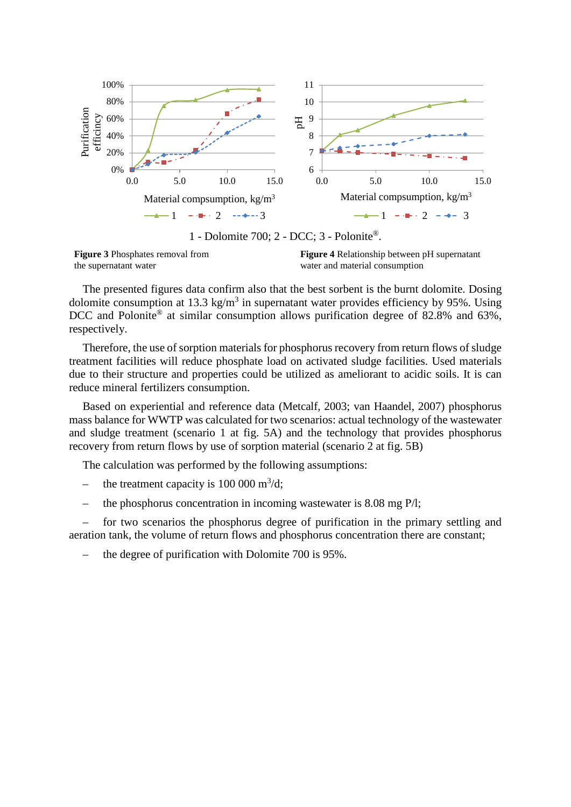

1 - Dolomite 700; 2 - DCC; 3 - Polonite®.

**Figure 3** Phosphates removal from the supernatant water

**Figure 4** Relationship between pH supernatant water and material consumption

The presented figures data confirm also that the best sorbent is the burnt dolomite. Dosing dolomite consumption at 13.3 kg/m<sup>3</sup> in supernatant water provides efficiency by 95%. Using DCC and Polonite<sup>®</sup> at similar consumption allows purification degree of 82.8% and 63%, respectively.

Therefore, the use of sorption materials for phosphorus recovery from return flows of sludge treatment facilities will reduce phosphate load on activated sludge facilities. Used materials due to their structure and properties could be utilized as ameliorant to acidic soils. It is can reduce mineral fertilizers consumption.

Based on experiential and reference data (Metcalf, 2003; van Haandel, 2007) phosphorus mass balance for WWTP was calculated for two scenarios: actual technology of the wastewater and sludge treatment (scenario 1 at fig. 5A) and the technology that provides phosphorus recovery from return flows by use of sorption material (scenario 2 at fig. 5B)

The calculation was performed by the following assumptions:

- the treatment capacity is  $100\,000\,\mathrm{m}^3/\mathrm{d}$ ;
- the phosphorus concentration in incoming wastewater is 8.08 mg Р/l;

– for two scenarios the phosphorus degree of purification in the primary settling and aeration tank, the [volume](http://www.multitran.ru/c/m.exe?t=27223_1_2&s1=%EE%E1%FA%B8%EC) of return flows and phosphorus concentration there are constant;

– the degree of purification with Dolomite 700 is 95%.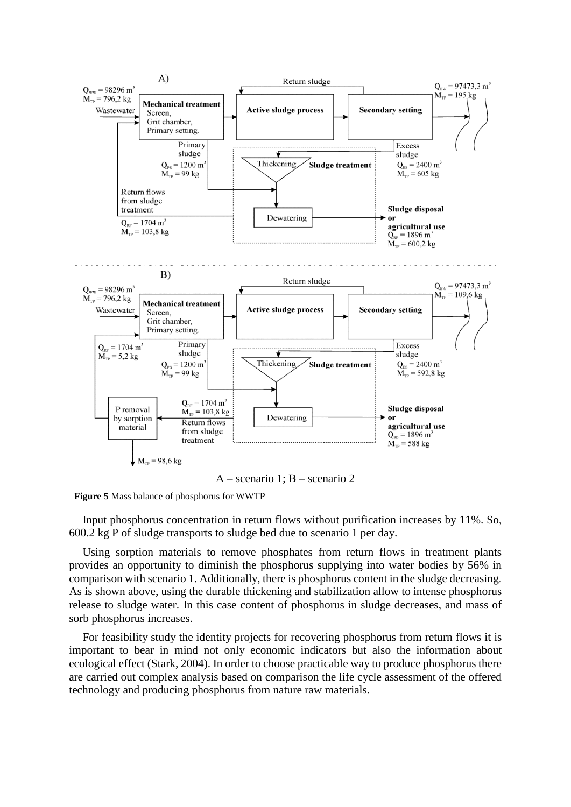

А – scenario 1; В – scenario 2



Input phosphorus concentration in return flows without purification increases by 11%. So, 600.2 kg P of sludge transports to sludge bed due to scenario 1 per day.

Using sorption materials to remove phosphates from return flows in treatment plants provides an opportunity to diminish the phosphorus supplying into water bodies by 56% in comparison with scenario 1. Additionally, there is phosphorus content in the sludge decreasing. As is shown above, using the durable thickening and stabilization allow to intense phosphorus release to sludge water. In this case content of phosphorus in sludge decreases, and mass of sorb phosphorus increases.

For feasibility study the identity projects for recovering phosphorus from return flows it is important to bear in mind not only economic indicators but also the information about ecological effect (Stark, 2004). In order to choose practicable way to produce phosphorus there are carried out complex analysis based on comparison the life cycle assessment of the offered technology and producing phosphorus from nature raw materials.